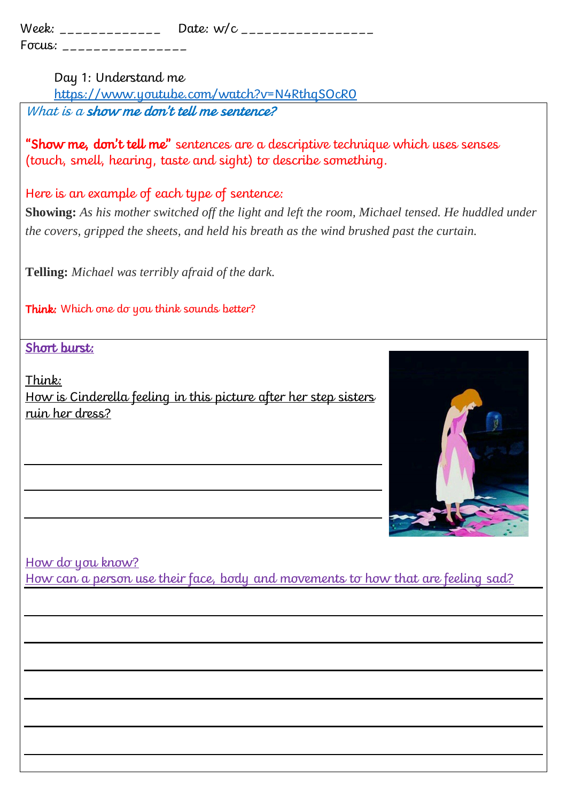| Week:  | Date: $w/c$ |
|--------|-------------|
| Focus: |             |

Day 1: Understand me

<https://www.youtube.com/watch?v=N4RthqSOcR0> What is a show me don't tell me sentence?

"Show me, don't tell me" sentences are a descriptive technique which uses senses (touch, smell, hearing, taste and sight) to describe something.

Here is an example of each type of sentence:

**Showing:** *As his mother switched off the light and left the room, Michael tensed. He huddled under the covers, gripped the sheets, and held his breath as the wind brushed past the curtain.*

**Telling:** *Michael was terribly afraid of the dark.*

Think: Which one do you think sounds better?

Short burst:

Think: How is Cinderella feeling in this picture after her step sisters ruin her dress?



How do you know?

How can a person use their face, body and movements to how that are feeling sad?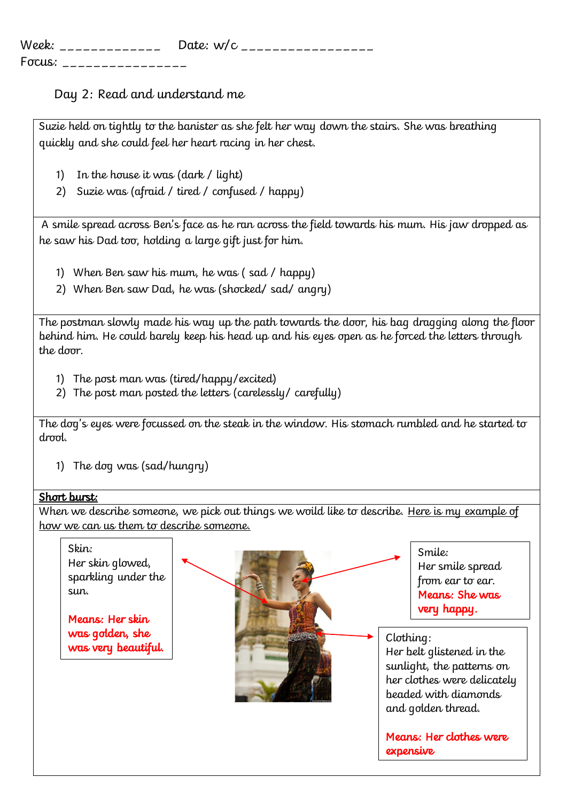| Week:  | Date: $w/c$ |
|--------|-------------|
| Focus: |             |

# Day 2: Read and understand me

Suzie held on tightly to the banister as she felt her way down the stairs. She was breathing quickly and she could feel her heart racing in her chest.

- 1) In the house it was (dark / light)
- 2) Suzie was (afraid / tired / confused / happy)

A smile spread across Ben's face as he ran across the field towards his mum. His jaw dropped as he saw his Dad too, holding a large gift just for him.

- 1) When Ben saw his mum, he was ( sad / happy)
- 2) When Ben saw Dad, he was (shocked/ sad/ angry)

The postman slowly made his way up the path towards the door, his bag dragging along the floor behind him. He could barely keep his head up and his eyes open as he forced the letters through the door.

- 1) The post man was (tired/happy/excited)
- 2) The post man posted the letters (carelessly/ carefully)

The dog's eyes were focussed on the steak in the window. His stomach rumbled and he started to drool.

1) The dog was (sad/hungry)

#### Short burst:

When we describe someone, we pick out things we woild like to describe. Here is my example of how we can us them to describe someone.

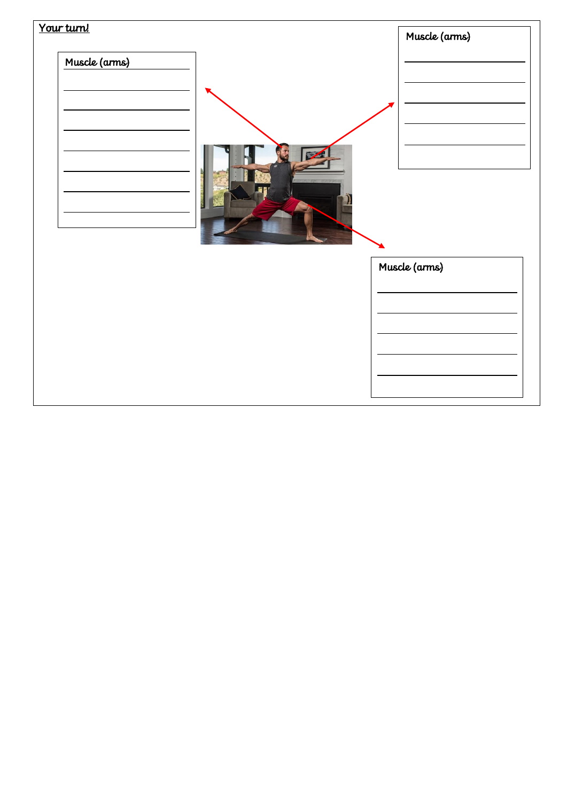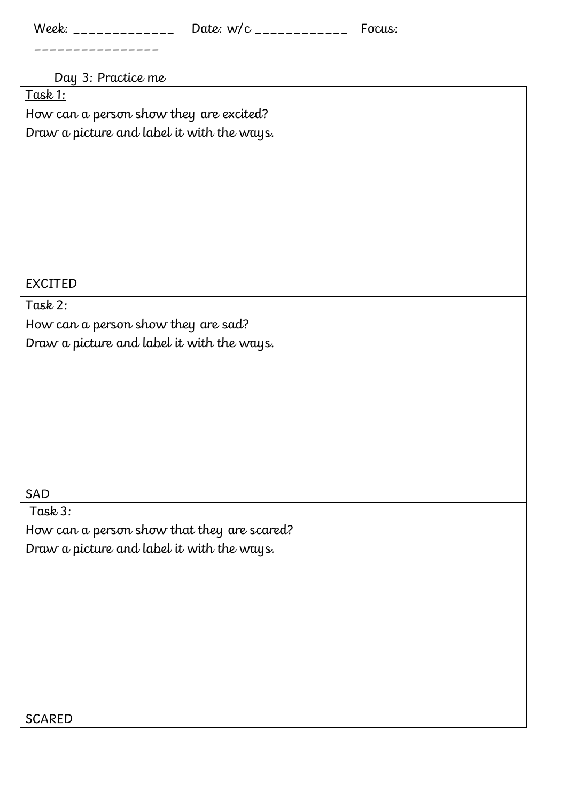| Week: | Date: $w/c$ | Fσcus: |
|-------|-------------|--------|
|       |             |        |

### Day 3: Practice me

Task 1:

How can a person show they are excited? Draw a picture and label it with the ways.

# EXCITED

### Task 2:

How can a person show they are sad? Draw a picture and label it with the ways.

# SAD

Task 3: How can a person show that they are scared? Draw a picture and label it with the ways.

# SCARED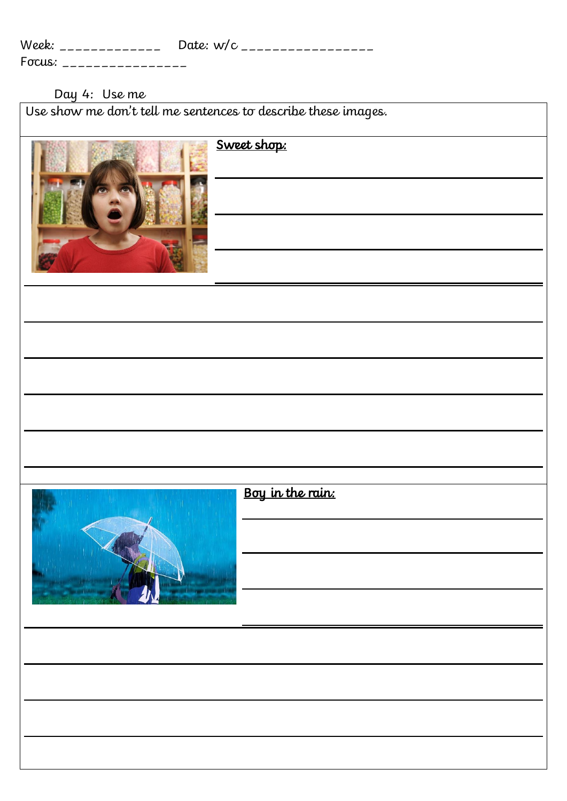| Week:  | Date: $w/c$ |
|--------|-------------|
| Focus: |             |

#### Day 4: Use me

Use show me don't tell me sentences to describe these images.

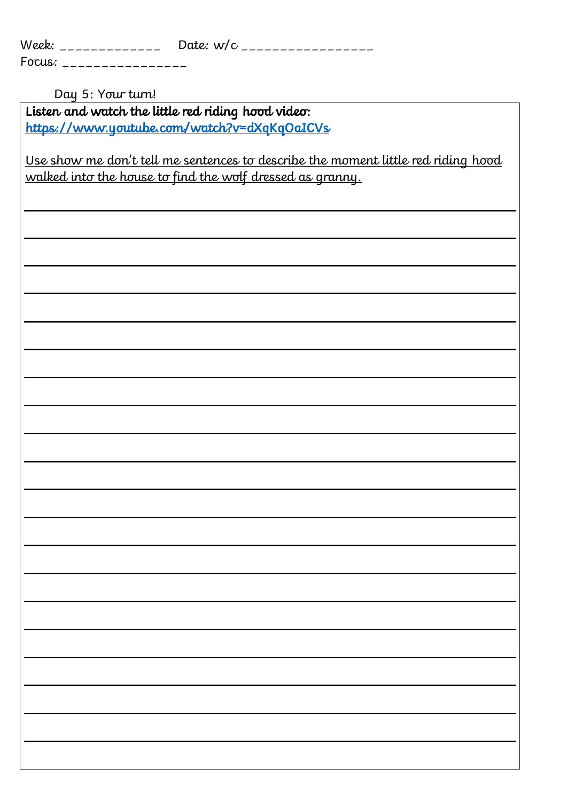| Week:                  | Date: $w/c$<br>. <u>_ _ _ _ _ _ _ _ _ _ _ _ _ _ _ _</u> |
|------------------------|---------------------------------------------------------|
| Focus:<br>------------ |                                                         |

Day 5: Your turn!

Listen and watch the little red riding hood video: <https://www.youtube.com/watch?v=dXqKqOaICVs>

Use show me don't tell me sentences to describe the moment little red riding hood walked into the house to find the wolf dressed as granny.